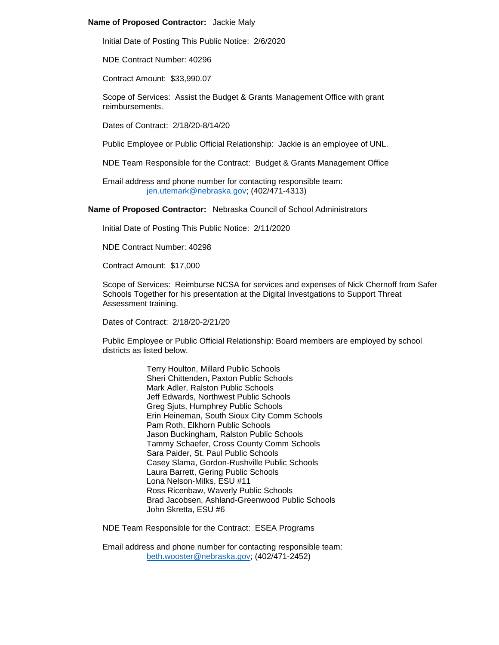## **Name of Proposed Contractor:** Jackie Maly

Initial Date of Posting This Public Notice: 2/6/2020

NDE Contract Number: 40296

Contract Amount: \$33,990.07

Scope of Services: Assist the Budget & Grants Management Office with grant reimbursements.

Dates of Contract: 2/18/20-8/14/20

Public Employee or Public Official Relationship: Jackie is an employee of UNL.

NDE Team Responsible for the Contract: Budget & Grants Management Office

Email address and phone number for contacting responsible team: [jen.utemark@nebraska.gov;](mailto:jen.utemark@nebraska.gov) (402/471-4313)

**Name of Proposed Contractor:** Nebraska Council of School Administrators

Initial Date of Posting This Public Notice: 2/11/2020

NDE Contract Number: 40298

Contract Amount: \$17,000

Scope of Services: Reimburse NCSA for services and expenses of Nick Chernoff from Safer Schools Together for his presentation at the Digital Investgations to Support Threat Assessment training.

Dates of Contract: 2/18/20-2/21/20

Public Employee or Public Official Relationship: Board members are employed by school districts as listed below.

> Terry Houlton, Millard Public Schools Sheri Chittenden, Paxton Public Schools Mark Adler, Ralston Public Schools Jeff Edwards, Northwest Public Schools Greg Sjuts, Humphrey Public Schools Erin Heineman, South Sioux City Comm Schools Pam Roth, Elkhorn Public Schools Jason Buckingham, Ralston Public Schools Tammy Schaefer, Cross County Comm Schools Sara Paider, St. Paul Public Schools Casey Slama, Gordon-Rushville Public Schools Laura Barrett, Gering Public Schools Lona Nelson-Milks, ESU #11 Ross Ricenbaw, Waverly Public Schools Brad Jacobsen, Ashland-Greenwood Public Schools John Skretta, ESU #6

NDE Team Responsible for the Contract: ESEA Programs

Email address and phone number for contacting responsible team: [beth.wooster@nebraska.gov;](mailto:beth.wooster@nebraska.gov) (402/471-2452)